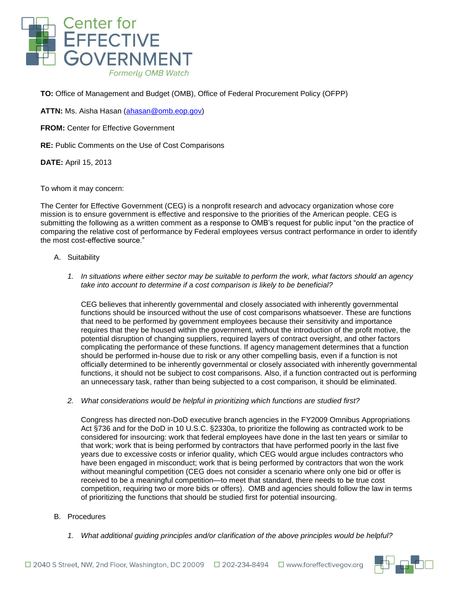

**TO:** Office of Management and Budget (OMB), Office of Federal Procurement Policy (OFPP)

**ATTN:** Ms. Aisha Hasan [\(ahasan@omb.eop.gov\)](mailto:ahasan@omb.eop.gov)

**FROM:** Center for Effective Government

**RE:** Public Comments on the Use of Cost Comparisons

**DATE:** April 15, 2013

To whom it may concern:

The Center for Effective Government (CEG) is a nonprofit research and advocacy organization whose core mission is to ensure government is effective and responsive to the priorities of the American people. CEG is submitting the following as a written comment as a response to OMB's request for public input "on the practice of comparing the relative cost of performance by Federal employees versus contract performance in order to identify the most cost-effective source."

## A. Suitability

*1. In situations where either sector may be suitable to perform the work, what factors should an agency take into account to determine if a cost comparison is likely to be beneficial?*

CEG believes that inherently governmental and closely associated with inherently governmental functions should be insourced without the use of cost comparisons whatsoever. These are functions that need to be performed by government employees because their sensitivity and importance requires that they be housed within the government, without the introduction of the profit motive, the potential disruption of changing suppliers, required layers of contract oversight, and other factors complicating the performance of these functions. If agency management determines that a function should be performed in-house due to risk or any other compelling basis, even if a function is not officially determined to be inherently governmental or closely associated with inherently governmental functions, it should not be subject to cost comparisons. Also, if a function contracted out is performing an unnecessary task, rather than being subjected to a cost comparison, it should be eliminated.

*2. What considerations would be helpful in prioritizing which functions are studied first?*

Congress has directed non-DoD executive branch agencies in the FY2009 Omnibus Appropriations Act §736 and for the DoD in 10 U.S.C. §2330a, to prioritize the following as contracted work to be considered for insourcing: work that federal employees have done in the last ten years or similar to that work; work that is being performed by contractors that have performed poorly in the last five years due to excessive costs or inferior quality, which CEG would argue includes contractors who have been engaged in misconduct; work that is being performed by contractors that won the work without meaningful competition (CEG does not consider a scenario where only one bid or offer is received to be a meaningful competition—to meet that standard, there needs to be true cost competition, requiring two or more bids or offers). OMB and agencies should follow the law in terms of prioritizing the functions that should be studied first for potential insourcing.

- B. Procedures
	- *1. What additional guiding principles and/or clarification of the above principles would be helpful?*

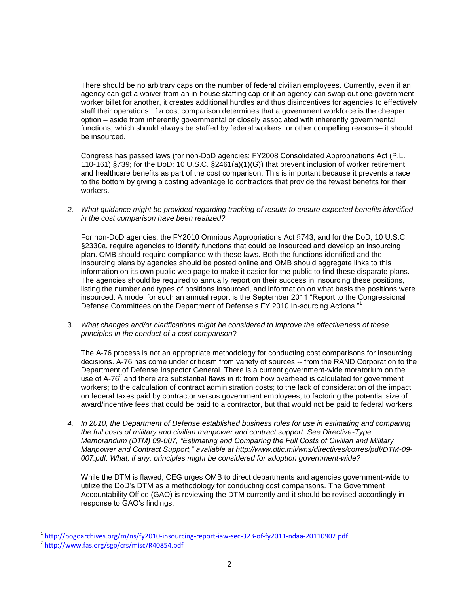There should be no arbitrary caps on the number of federal civilian employees. Currently, even if an agency can get a waiver from an in-house staffing cap or if an agency can swap out one government worker billet for another, it creates additional hurdles and thus disincentives for agencies to effectively staff their operations. If a cost comparison determines that a government workforce is the cheaper option – aside from inherently governmental or closely associated with inherently governmental functions, which should always be staffed by federal workers, or other compelling reasons– it should be insourced.

Congress has passed laws (for non-DoD agencies: FY2008 Consolidated Appropriations Act (P.L. 110-161) §739; for the DoD: 10 U.S.C. §2461(a)(1)(G)) that prevent inclusion of worker retirement and healthcare benefits as part of the cost comparison. This is important because it prevents a race to the bottom by giving a costing advantage to contractors that provide the fewest benefits for their workers.

*2. What guidance might be provided regarding tracking of results to ensure expected benefits identified in the cost comparison have been realized?*

For non-DoD agencies, the FY2010 Omnibus Appropriations Act §743, and for the DoD, 10 U.S.C. §2330a, require agencies to identify functions that could be insourced and develop an insourcing plan. OMB should require compliance with these laws. Both the functions identified and the insourcing plans by agencies should be posted online and OMB should aggregate links to this information on its own public web page to make it easier for the public to find these disparate plans. The agencies should be required to annually report on their success in insourcing these positions, listing the number and types of positions insourced, and information on what basis the positions were insourced. A model for such an annual report is the September 2011 "Report to the Congressional Defense Committees on the Department of Defense's FY 2010 In-sourcing Actions."<sup>1</sup>

3. *What changes and/or clarifications might be considered to improve the effectiveness of these principles in the conduct of a cost comparison*?

The A-76 process is not an appropriate methodology for conducting cost comparisons for insourcing decisions. A-76 has come under criticism from variety of sources -- from the RAND Corporation to the Department of Defense Inspector General. There is a current government-wide moratorium on the use of A-76<sup>2</sup> and there are substantial flaws in it: from how overhead is calculated for government workers; to the calculation of contract administration costs; to the lack of consideration of the impact on federal taxes paid by contractor versus government employees; to factoring the potential size of award/incentive fees that could be paid to a contractor, but that would not be paid to federal workers.

*4. In 2010, the Department of Defense established business rules for use in estimating and comparing the full costs of military and civilian manpower and contract support. See Directive-Type Memorandum (DTM) 09-007, "Estimating and Comparing the Full Costs of Civilian and Military Manpower and Contract Support," available at http://www.dtic.mil/whs/directives/corres/pdf/DTM-09- 007.pdf. What, if any, principles might be considered for adoption government-wide?*

While the DTM is flawed, CEG urges OMB to direct departments and agencies government-wide to utilize the DoD's DTM as a methodology for conducting cost comparisons. The Government Accountability Office (GAO) is reviewing the DTM currently and it should be revised accordingly in response to GAO's findings.

1

<sup>1</sup> <http://pogoarchives.org/m/ns/fy2010-insourcing-report-iaw-sec-323-of-fy2011-ndaa-20110902.pdf>

<sup>2</sup> <http://www.fas.org/sgp/crs/misc/R40854.pdf>